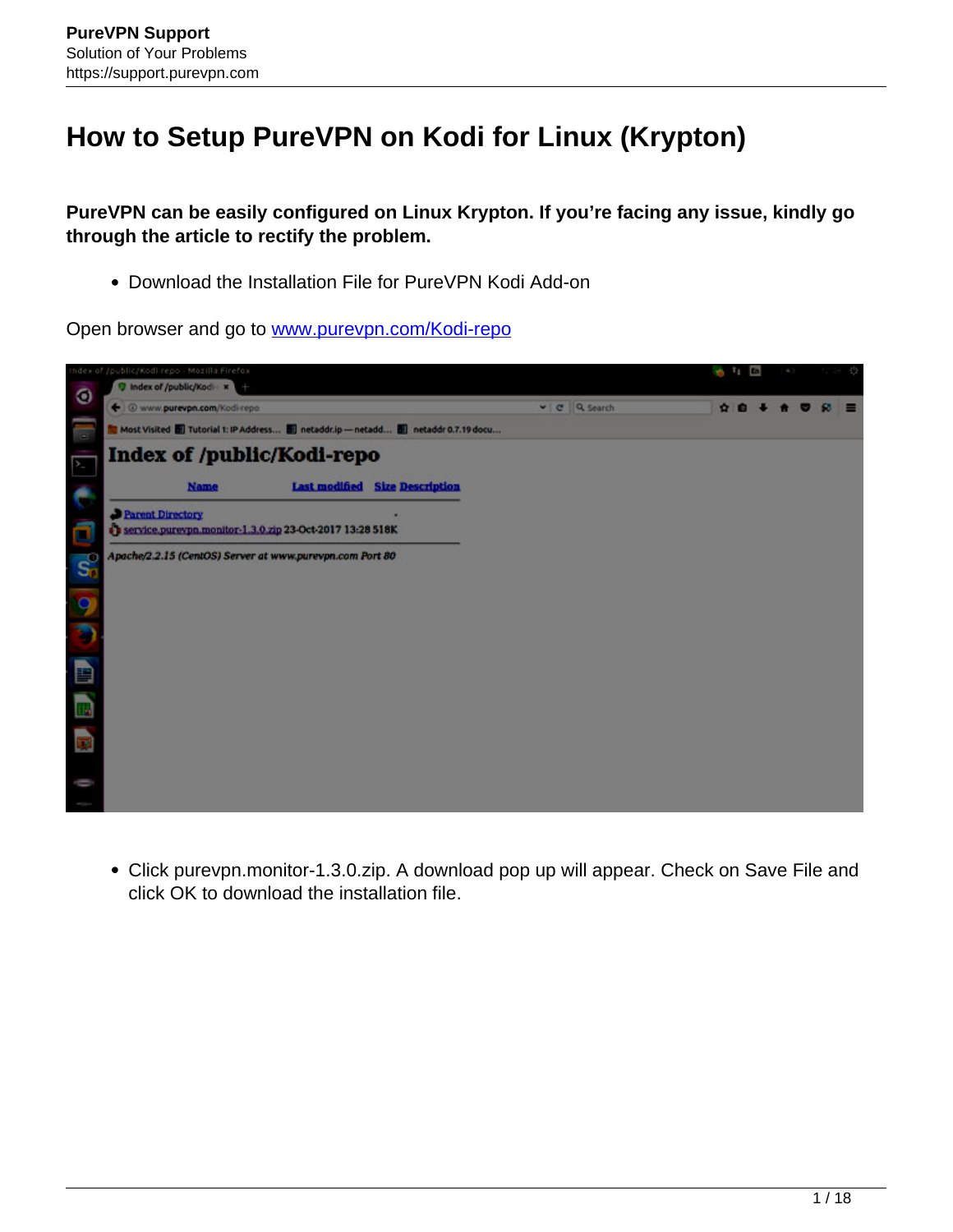## **How to Setup PureVPN on Kodi for Linux (Krypton)**

**PureVPN can be easily configured on Linux Krypton. If you're facing any issue, kindly go through the article to rectify the problem.**

Download the Installation File for PureVPN Kodi Add-on

Open browser and go to [www.purevpn.com/Kodi-repo](http://www.purevpn.com/Kodi-repo)



Click purevpn.monitor-1.3.0.zip. A download pop up will appear. Check on Save File and click OK to download the installation file.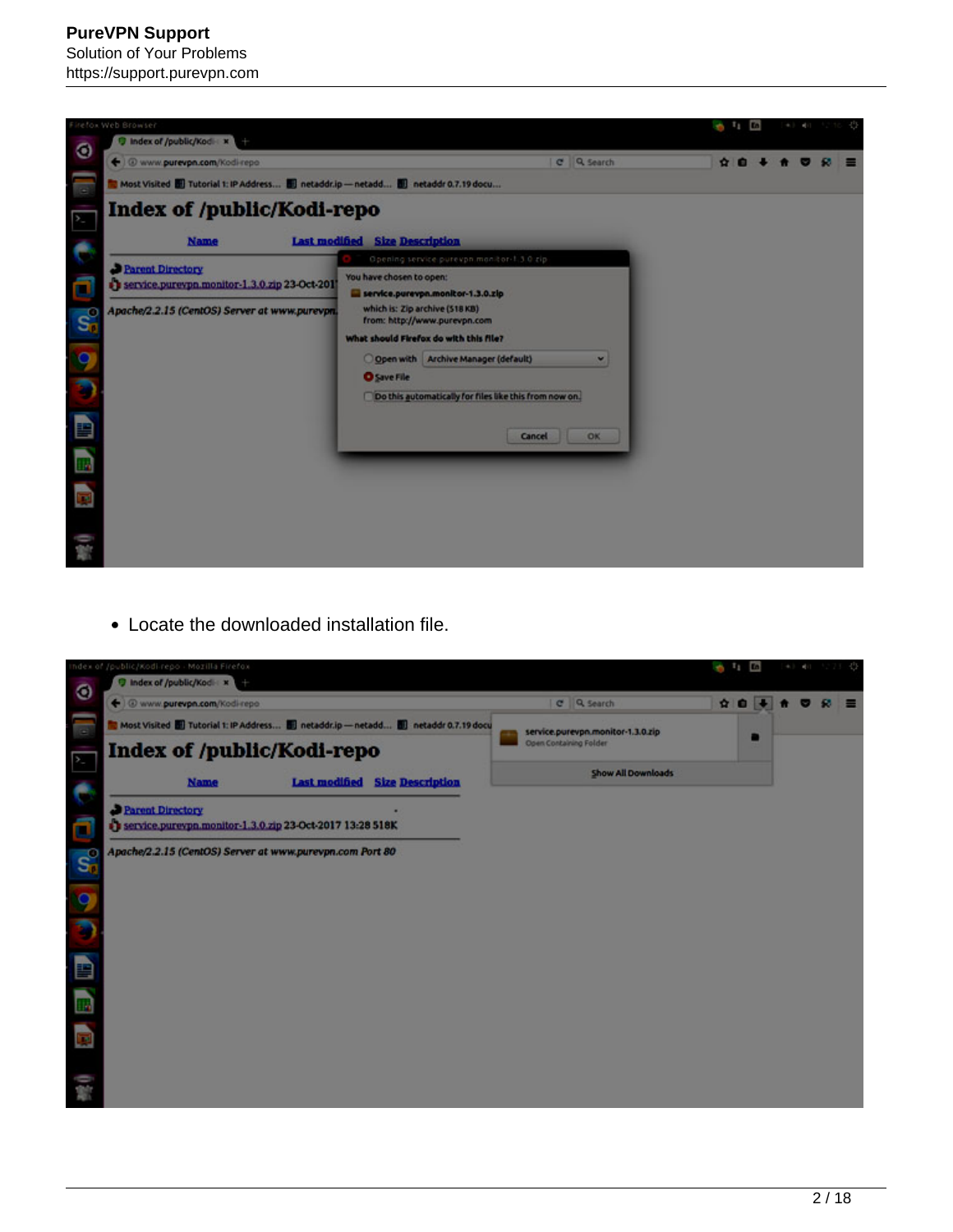## **PureVPN Support** Solution of Your Problems

https://support.purevpn.com



Locate the downloaded installation file.

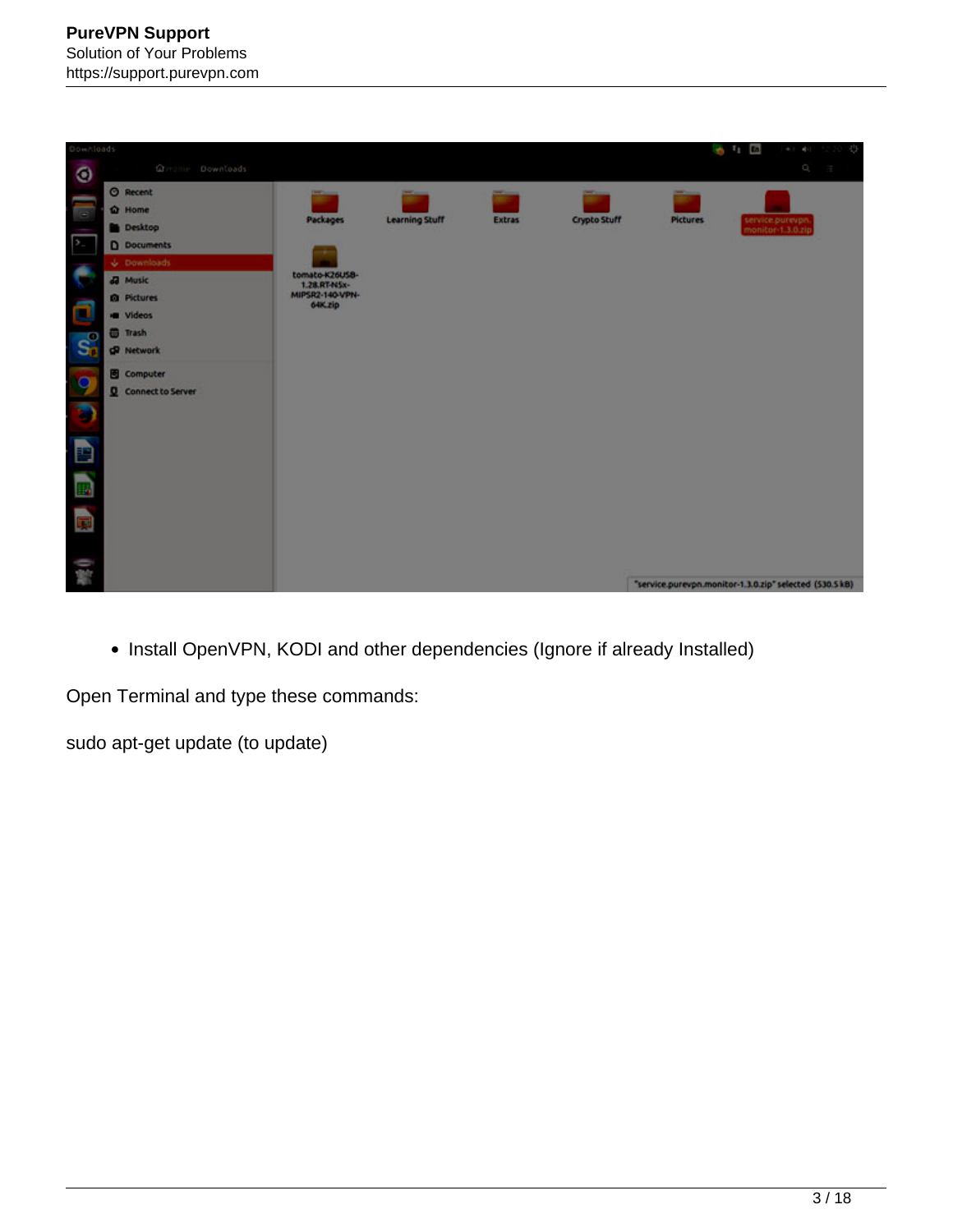| Downloads                                       |                                                                                                                                                                             |                                                                          |                       |               |                     |                                                         | $01$ 1                                | $\Phi(1) = \Phi(1) = 2 \cdot 2 \cdot 2$                                |  |
|-------------------------------------------------|-----------------------------------------------------------------------------------------------------------------------------------------------------------------------------|--------------------------------------------------------------------------|-----------------------|---------------|---------------------|---------------------------------------------------------|---------------------------------------|------------------------------------------------------------------------|--|
| $\circledcirc$                                  | Greene Downloads                                                                                                                                                            |                                                                          |                       |               |                     |                                                         |                                       | $\label{eq:Q} \mathbb{Q}^{\mathcal{C}}_i = \mathbb{Q}^{\mathcal{C}}_i$ |  |
| т<br>$\mathcal{V}_-$<br>e<br>O<br>$S_0^{\circ}$ | <b>O</b> Recent<br><b>Q</b> Home<br><b>Desktop</b><br><b>D</b> Documents<br>$\psi$ . Downloads<br><b>Ja</b> Music<br><b>Q</b> Pictures<br><b>E</b> Videos<br><b>B</b> Trash | Packages<br>tomato-K26USB-<br>1.28.RT-NSx-<br>MIPSR2-140-VPN-<br>64K.zip | <b>Learning Stuff</b> | <b>Extras</b> | <b>Crypto Stuff</b> | <b>Pictures</b>                                         | service.purevpn.<br>monitor-1.3.0.zip |                                                                        |  |
|                                                 | <b>O</b> Network<br><b>B</b> Computer                                                                                                                                       |                                                                          |                       |               |                     |                                                         |                                       |                                                                        |  |
| 98<br>B                                         | Q Connect to Server                                                                                                                                                         |                                                                          |                       |               |                     |                                                         |                                       |                                                                        |  |
| E,                                              |                                                                                                                                                                             |                                                                          |                       |               |                     |                                                         |                                       |                                                                        |  |
| $\overline{\mathbf{E}}$                         |                                                                                                                                                                             |                                                                          |                       |               |                     |                                                         |                                       |                                                                        |  |
| 0 海                                             |                                                                                                                                                                             |                                                                          |                       |               |                     | "service.purevpn.monitor-1.3.0.zip" selected (530.5 kB) |                                       |                                                                        |  |

• Install OpenVPN, KODI and other dependencies (Ignore if already Installed)

Open Terminal and type these commands:

sudo apt-get update (to update)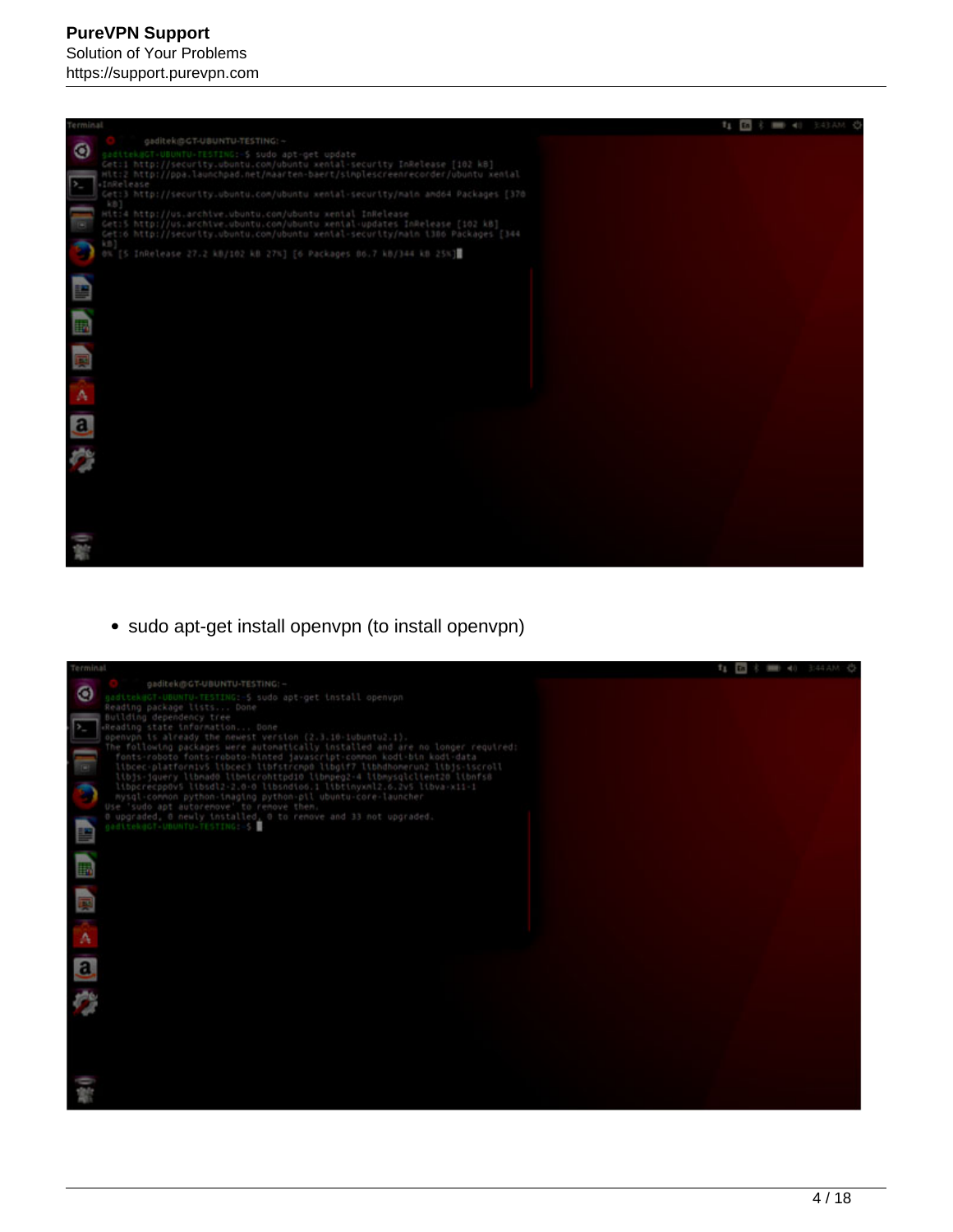

• sudo apt-get install openvpn (to install openvpn)

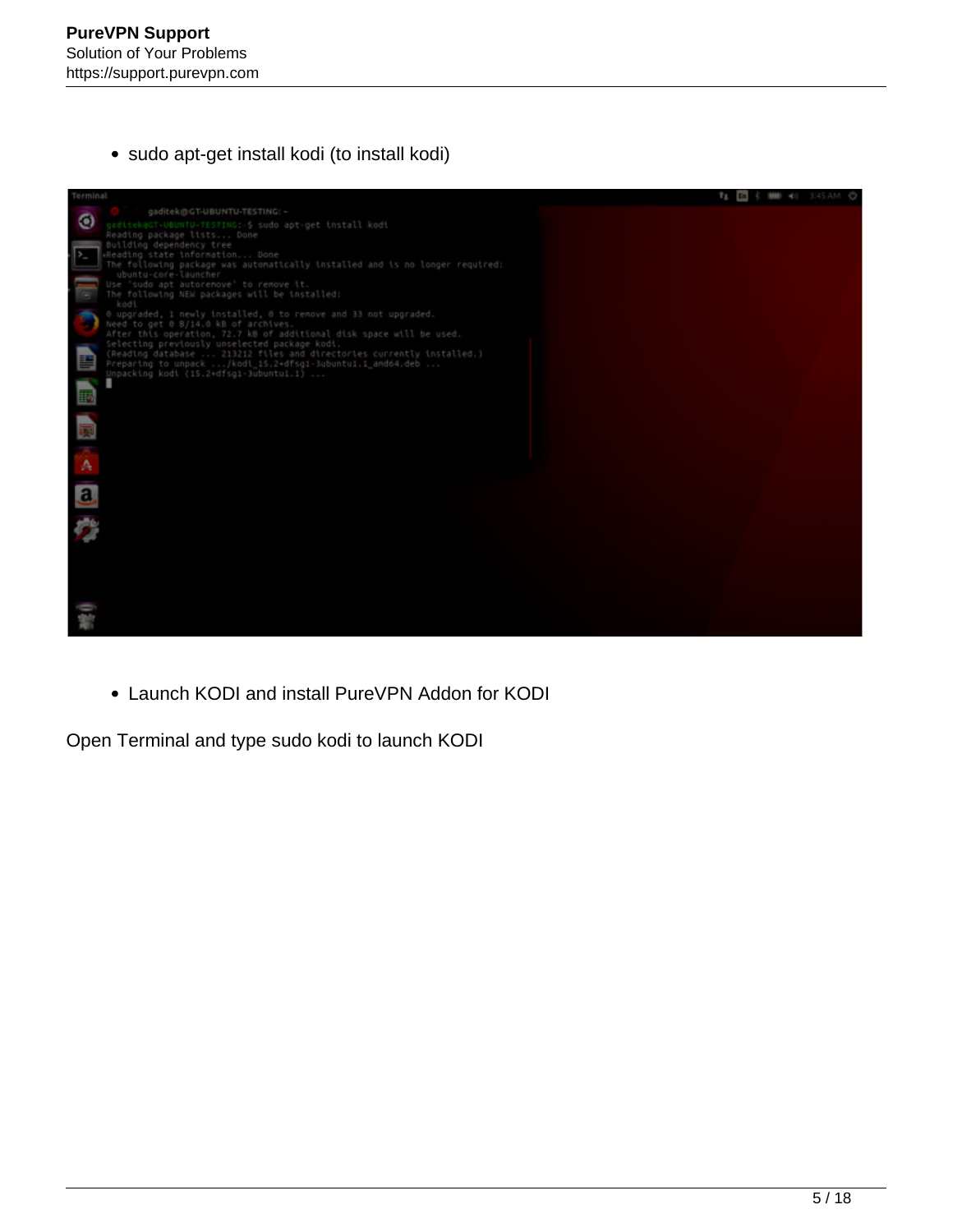sudo apt-get install kodi (to install kodi)



Launch KODI and install PureVPN Addon for KODI

Open Terminal and type sudo kodi to launch KODI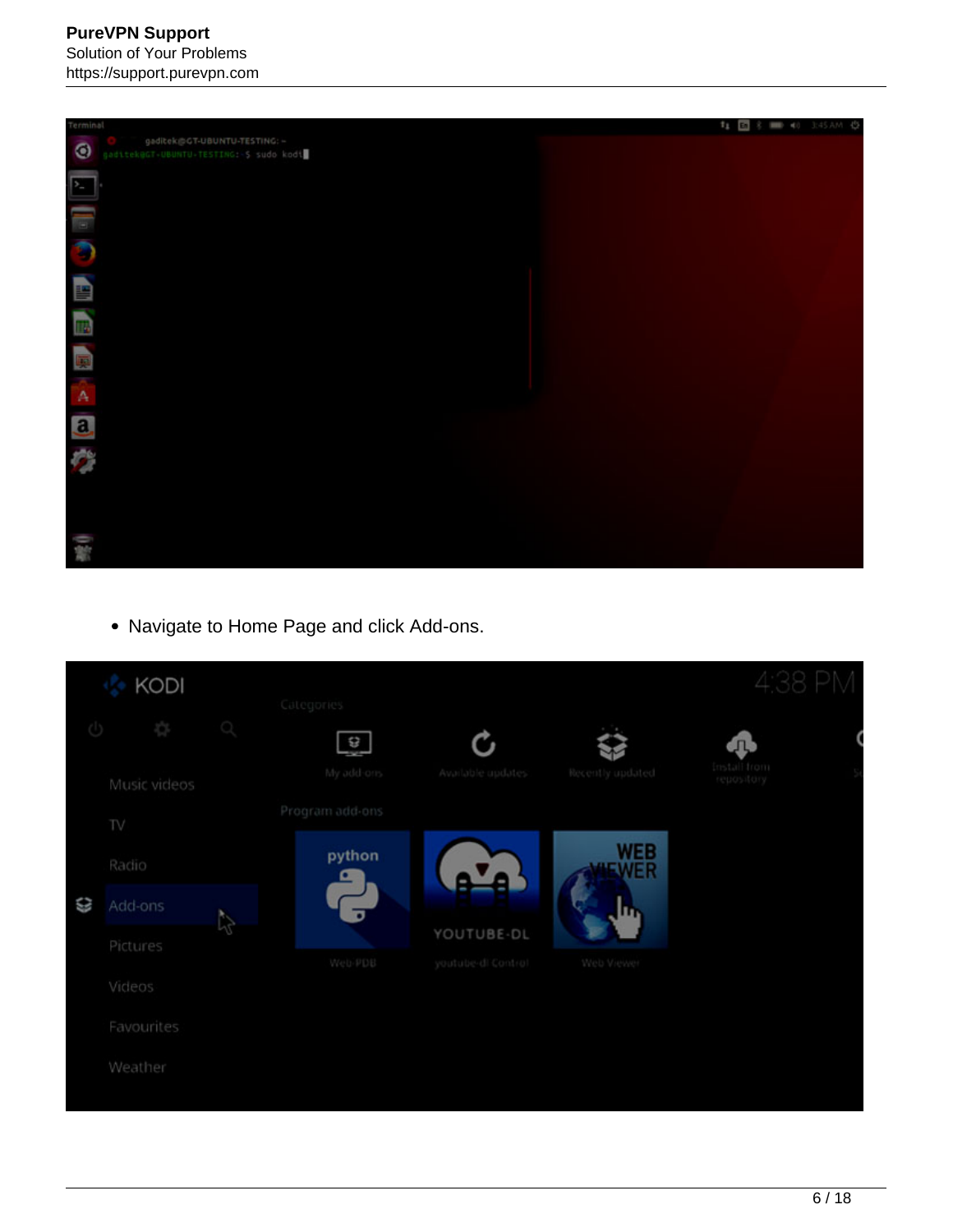https://support.purevpn.com



Navigate to Home Page and click Add-ons.

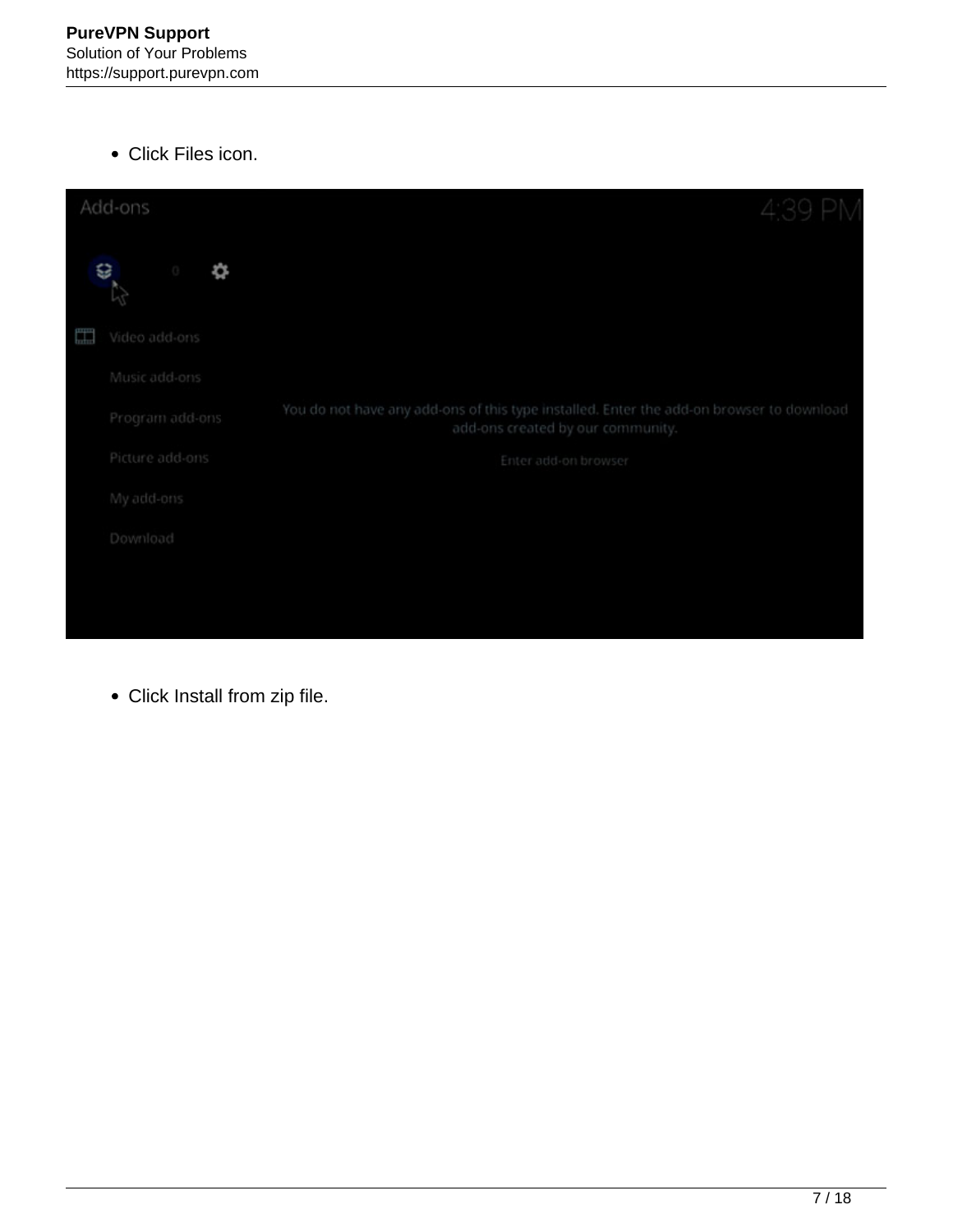Click Files icon.

| Add-ons            | 4:39 PM                                                                                                                       |
|--------------------|-------------------------------------------------------------------------------------------------------------------------------|
| €<br>❖<br>ō        |                                                                                                                               |
| H<br>Video add-ons |                                                                                                                               |
| Music add-ons      |                                                                                                                               |
| Program add-ons    | You do not have any add-ons of this type installed. Enter the add-on browser to download<br>add-ons created by our community. |
| Picture add-ons    | Enter add-on browser                                                                                                          |
| My add-ons         |                                                                                                                               |
| Download           |                                                                                                                               |
|                    |                                                                                                                               |
|                    |                                                                                                                               |

Click Install from zip file.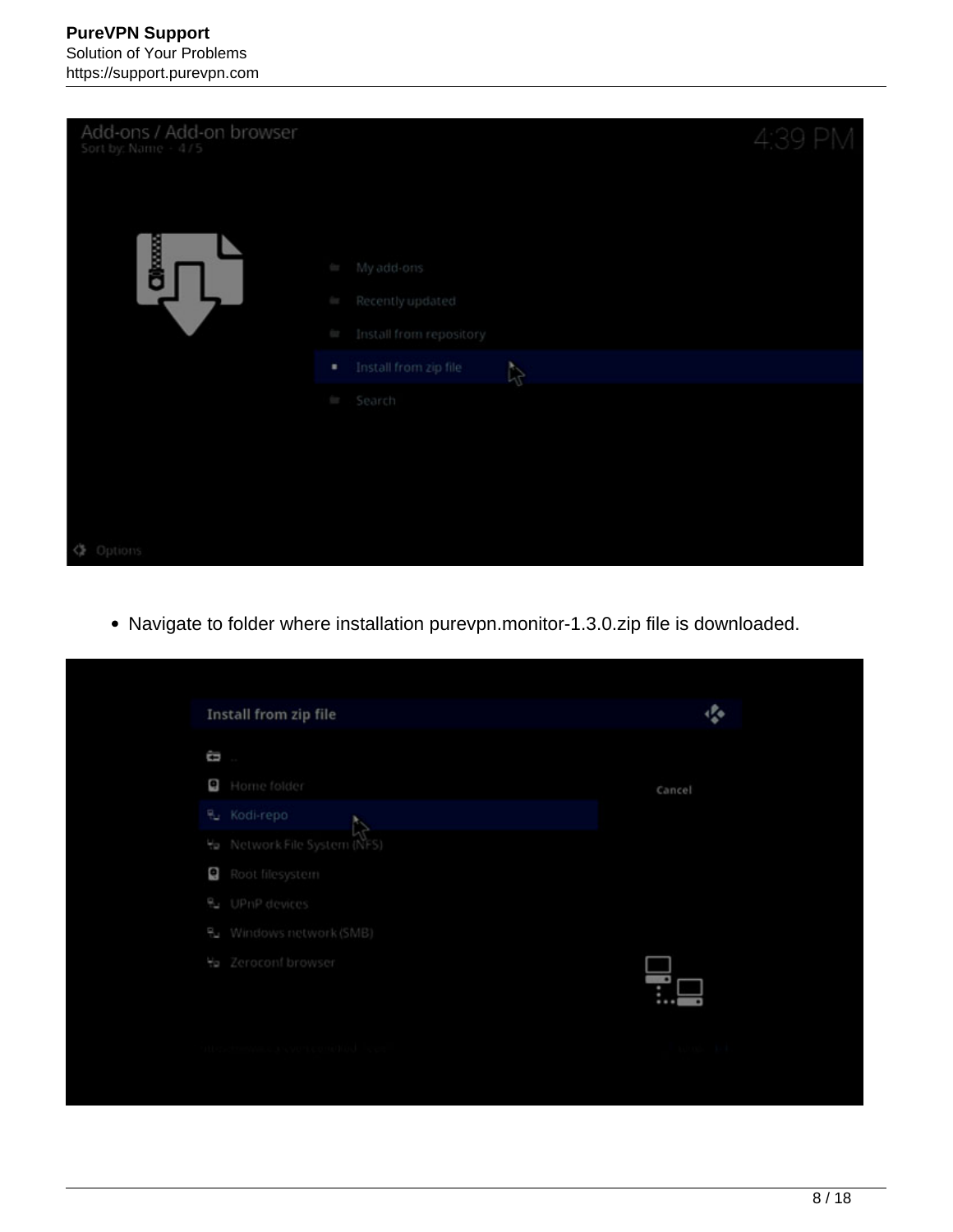

Navigate to folder where installation purevpn.monitor-1.3.0.zip file is downloaded.

| Install from zip file        | 癌      |
|------------------------------|--------|
| ū                            |        |
| G<br>Home folder             | Cancel |
| Ru Kodi-repo                 |        |
| Ha Network File System (NFS) |        |
| Ø<br>Root filesystem         |        |
| & UPnP devices               |        |
| 원 Windows network (SMB)      |        |
| to Zeroconf browser          |        |
|                              |        |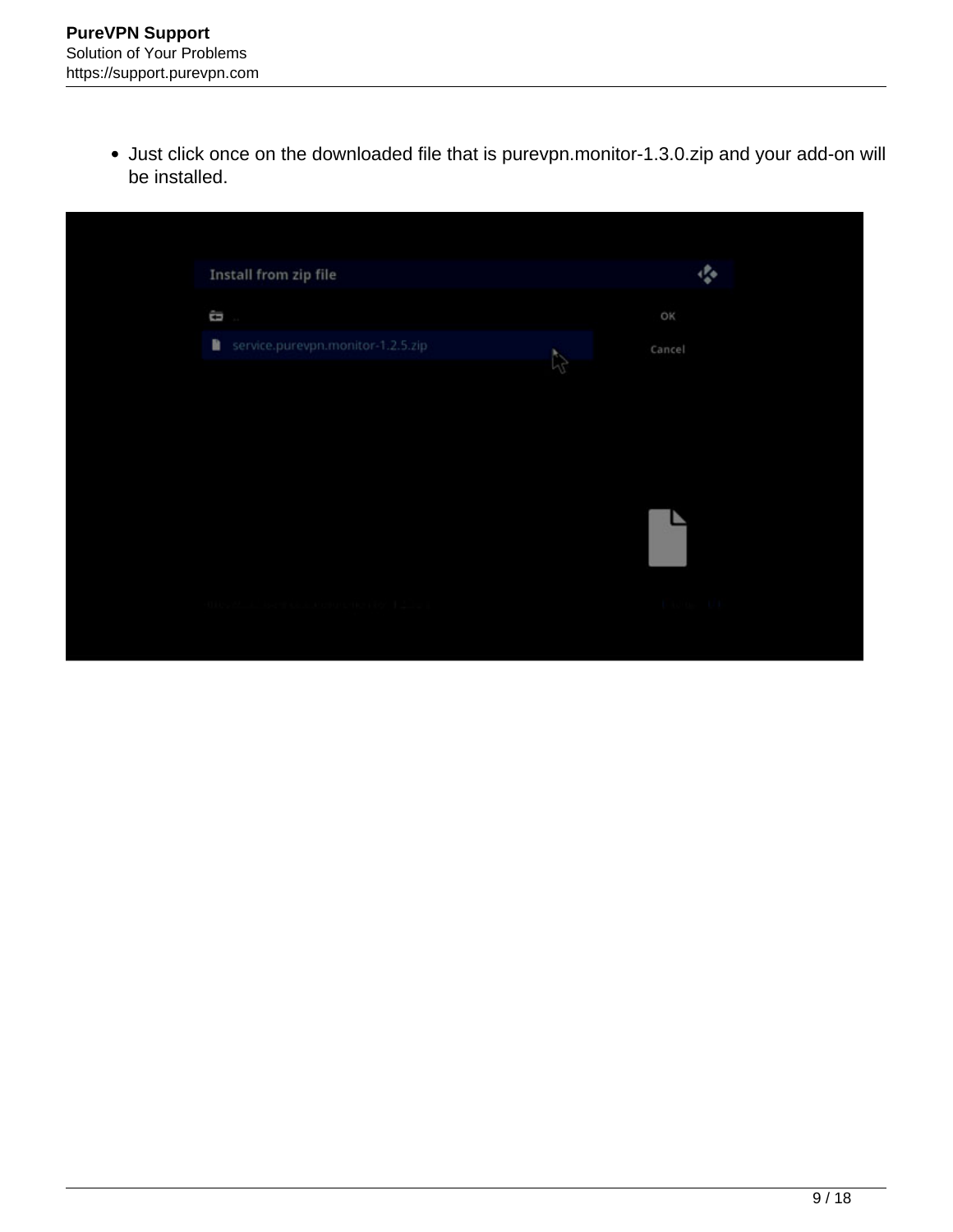Just click once on the downloaded file that is purevpn.monitor-1.3.0.zip and your add-on will be installed.

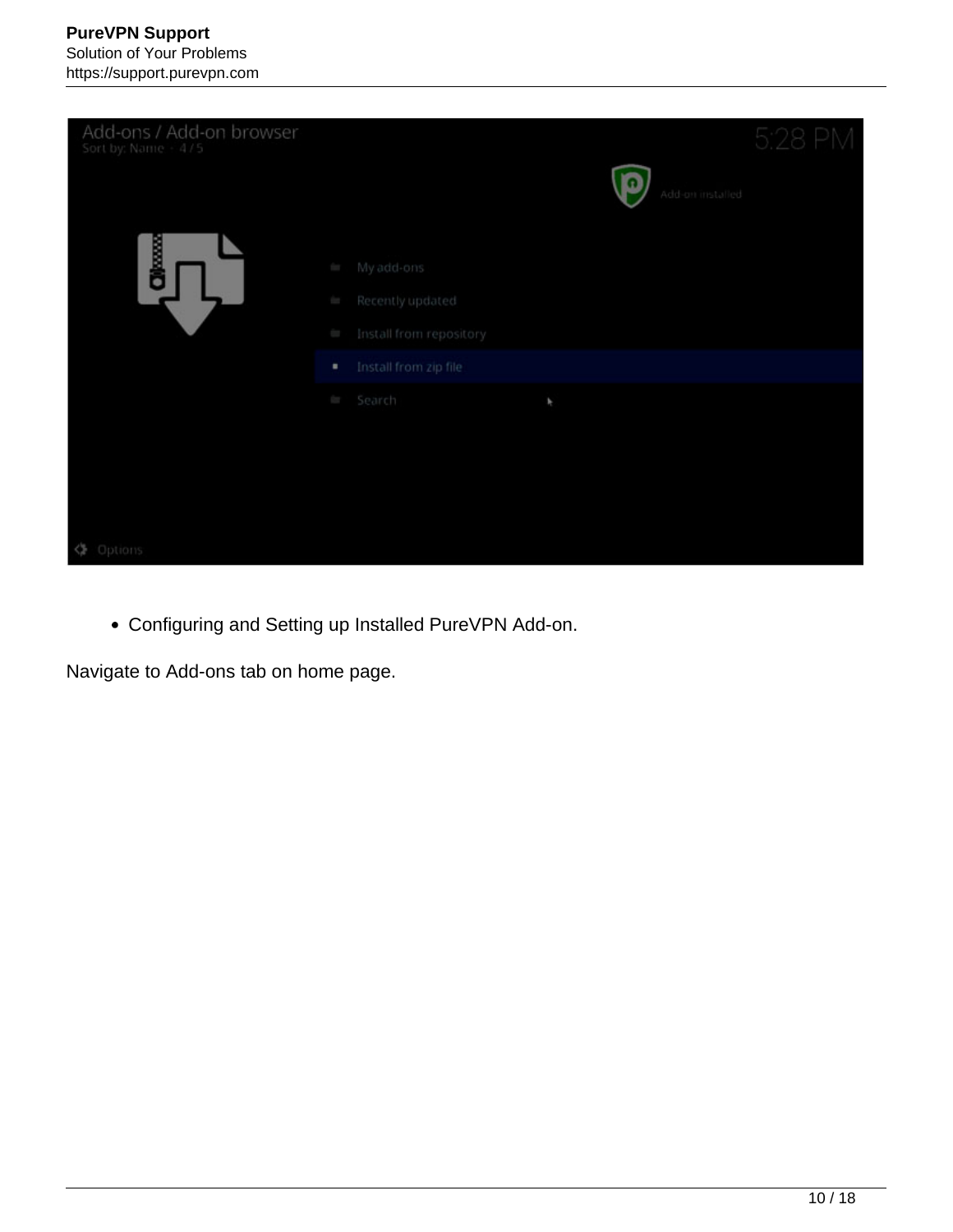

Configuring and Setting up Installed PureVPN Add-on.

Navigate to Add-ons tab on home page.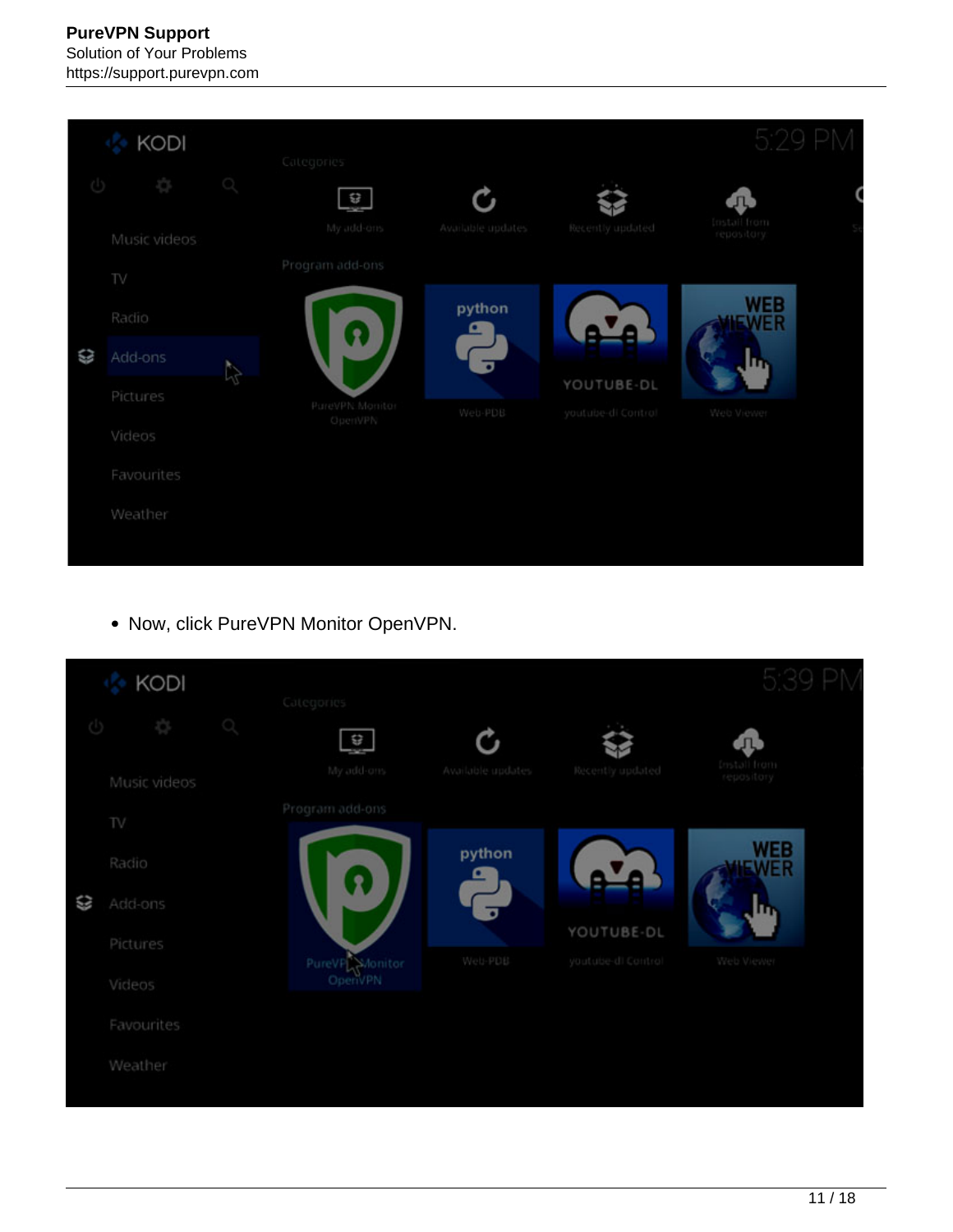## **PureVPN Support** Solution of Your Problems https://support.purevpn.com



• Now, click PureVPN Monitor OpenVPN.

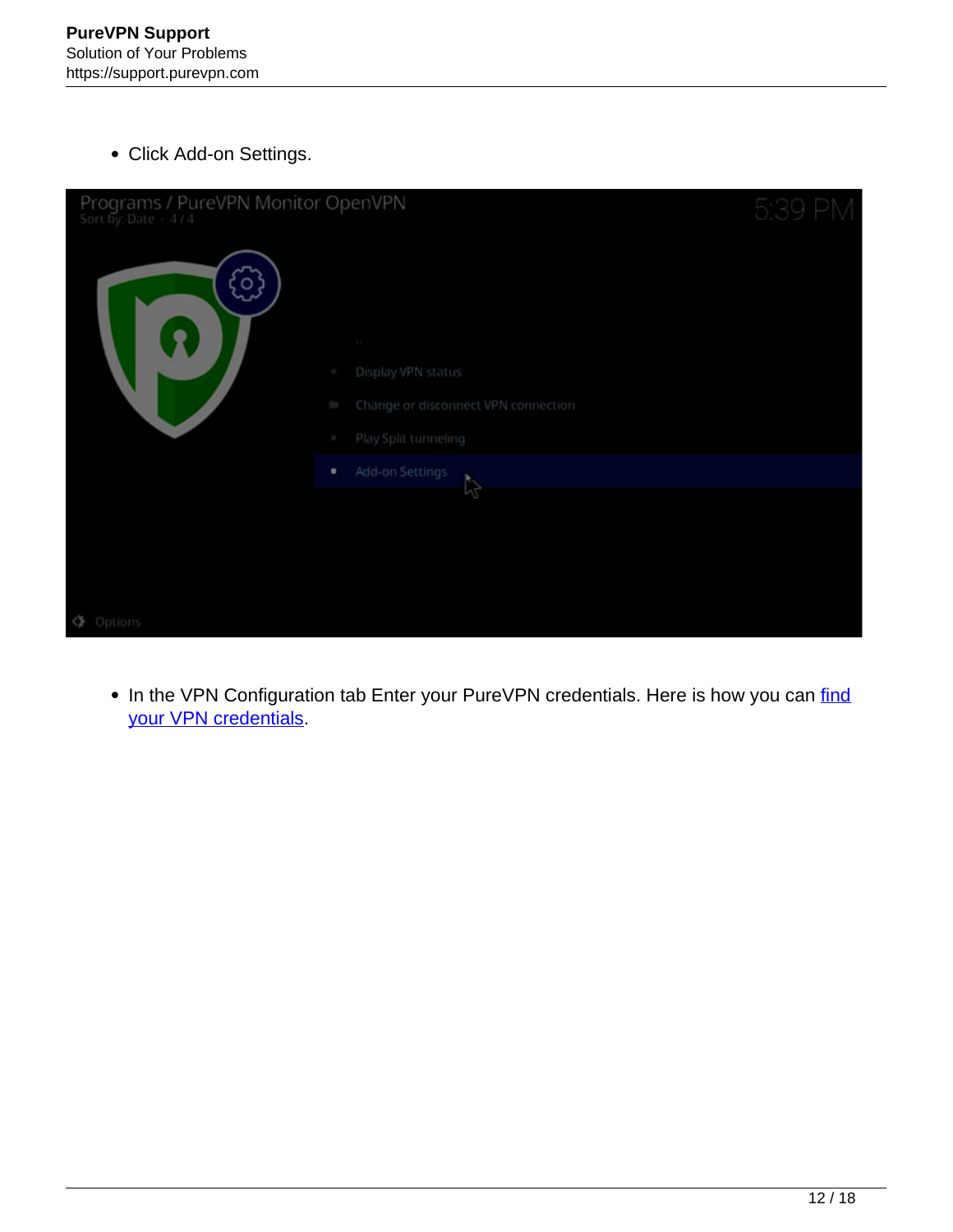Click Add-on Settings.

| Programs / PureVPN Monitor OpenVPN<br>Sort by: Date + 4/4 |                                            | 5:39 PM |
|-----------------------------------------------------------|--------------------------------------------|---------|
| ್ಲ                                                        |                                            |         |
| Ž                                                         | <b>COLLECTION</b>                          |         |
|                                                           | Display VPN status<br><b>SEC</b>           |         |
|                                                           | Change or disconnect VPN connection<br>for |         |
|                                                           | Play Split tunneling<br>P.                 |         |
|                                                           | Add-on Settings<br>٠                       |         |
|                                                           | R                                          |         |
|                                                           |                                            |         |
|                                                           |                                            |         |
|                                                           |                                            |         |
| <> Options                                                |                                            |         |

• In the VPN Configuration tab Enter your PureVPN credentials. Here is how you can find your VPN credentials.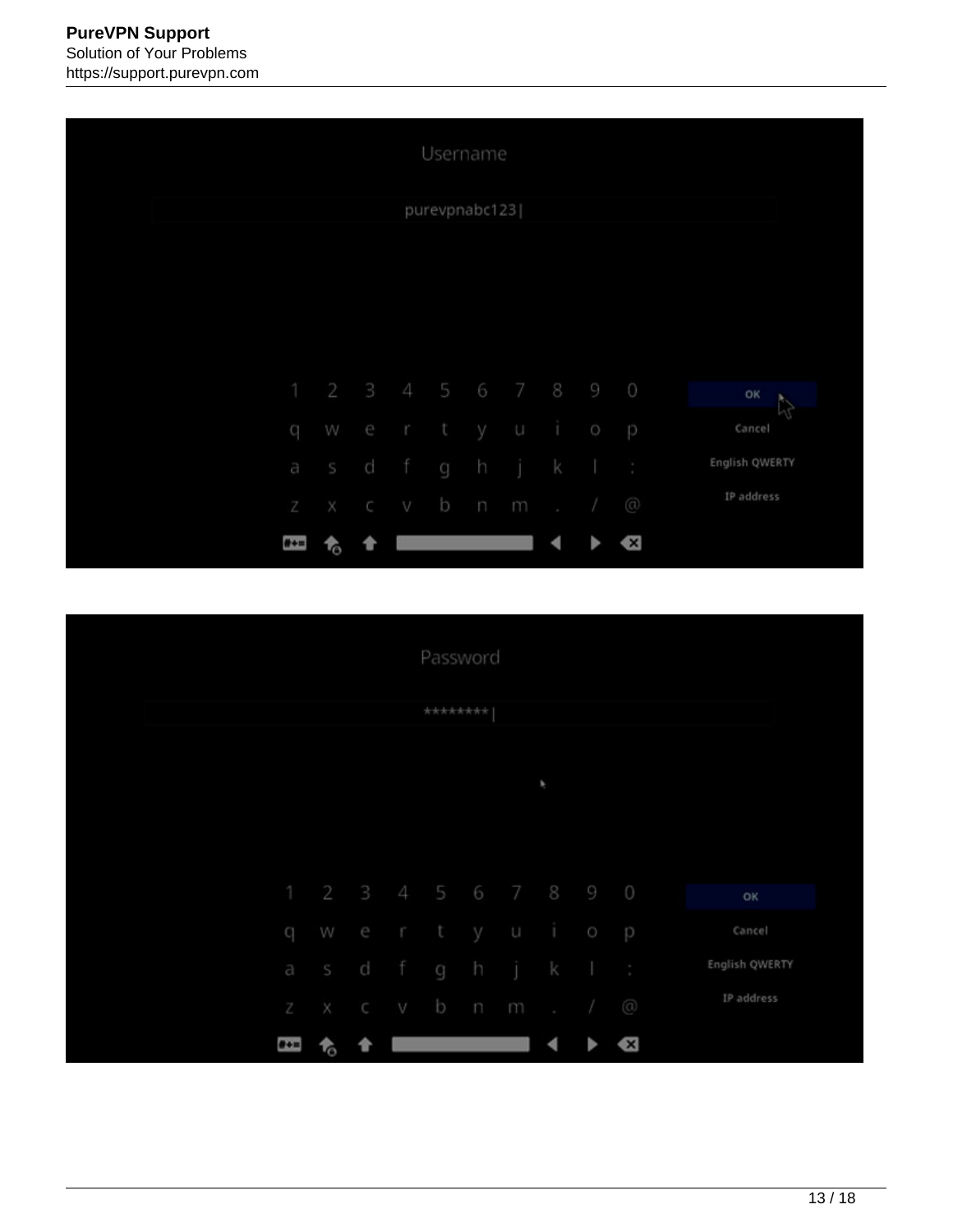|              |                     |           |        | Username      |    |                             |              |                |                |
|--------------|---------------------|-----------|--------|---------------|----|-----------------------------|--------------|----------------|----------------|
|              |                     |           |        | purevpnabc123 |    |                             |              |                |                |
|              |                     |           |        |               |    |                             |              |                |                |
|              |                     |           |        |               |    |                             |              |                |                |
|              |                     |           |        |               |    |                             |              |                |                |
|              | 1 2 3 4 5 6 7 8 9 0 |           |        |               |    |                             |              |                | OK             |
| $\mathbf{C}$ | w                   |           | er tyu |               |    | $\overline{1}$ 0            |              | P              | Cancel         |
|              | a s d               |           | f g h  |               | jk |                             | $\mathbf{1}$ |                | English QWERTY |
|              | Z X C               |           | v b n  |               | m  | $\sim$ $\sim$ $\sim$ $\sim$ |              | $\circledcirc$ | IP address     |
| $# + =$      | t.                  | $\bullet$ |        |               |    | ◀                           |              | Ø              |                |

|  |                           |           |              |     | Password |                    |                      |                 |                     |                    |                |
|--|---------------------------|-----------|--------------|-----|----------|--------------------|----------------------|-----------------|---------------------|--------------------|----------------|
|  |                           |           |              |     | ******** |                    |                      |                 |                     |                    |                |
|  |                           |           |              |     |          |                    |                      |                 |                     |                    |                |
|  |                           |           |              |     |          |                    |                      | ×               |                     |                    |                |
|  |                           |           |              |     |          |                    |                      |                 |                     |                    |                |
|  |                           |           |              |     |          |                    | 1 2 3 4 5 6 7 8 9 0  |                 |                     |                    | OK             |
|  | ${\bf Q}$                 | W         |              |     | er ty    |                    | $\qquad \qquad \cup$ | <b>TABLE</b>    | $\circlearrowright$ | p                  | Cancel         |
|  |                           | a s d     |              |     | fgh      |                    | j k                  |                 |                     | $\frac{1}{\alpha}$ | English QWERTY |
|  | $\ensuremath{\mathbb{Z}}$ | $\times$  | $\mathbb{C}$ | v b |          | $\boldsymbol{\Pi}$ | m                    | $\blacklozenge$ | $\sqrt{2}$          | $\circledcirc$     | IP address     |
|  | $\theta + \equiv$         | <b>To</b> | 合            |     |          |                    |                      | ◀               |                     | X)                 |                |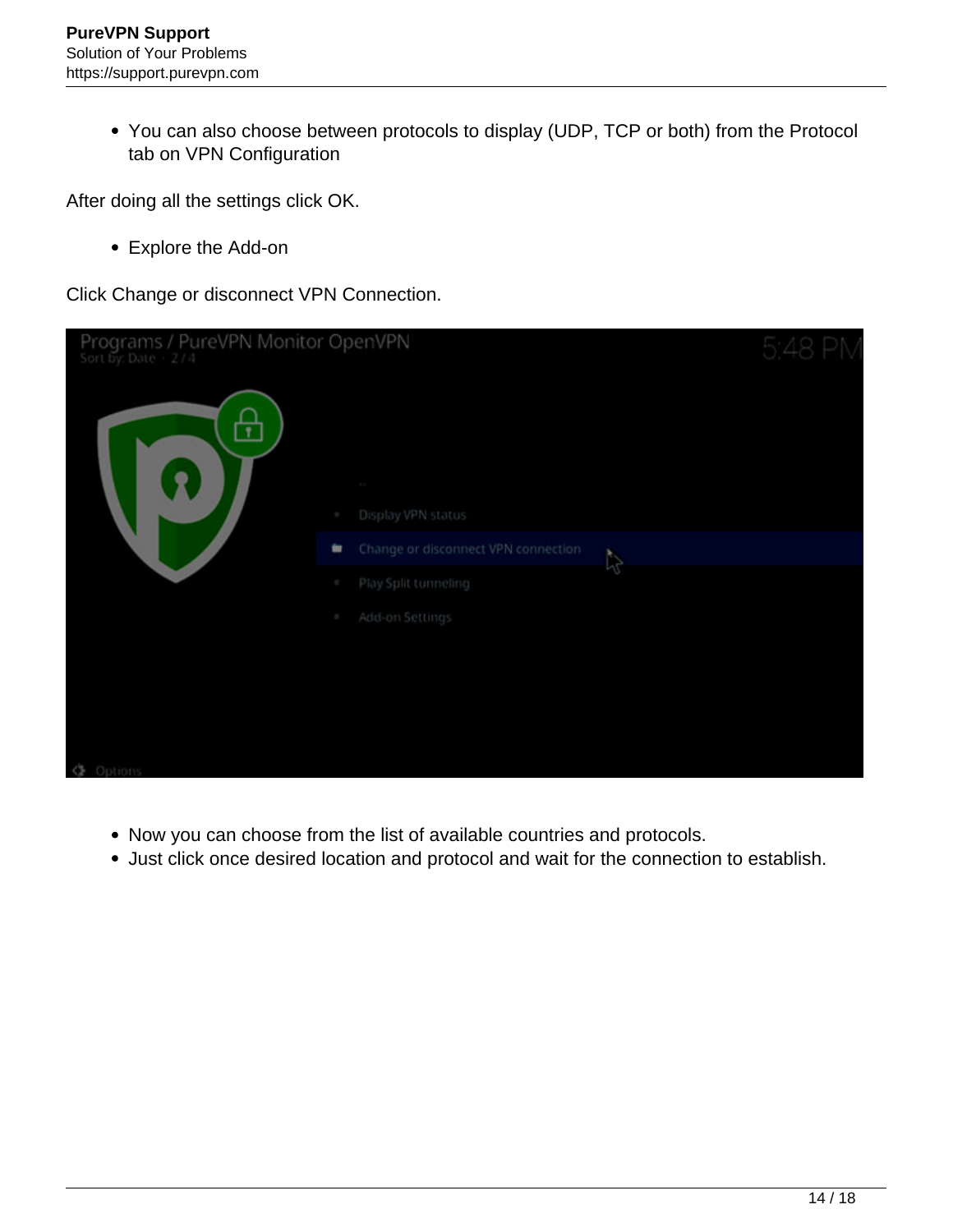You can also choose between protocols to display (UDP, TCP or both) from the Protocol tab on VPN Configuration

After doing all the settings click OK.

Explore the Add-on

Click Change or disconnect VPN Connection.

| Programs / PureVPN Monitor OpenVPN |                                                  | 5:48 PN |
|------------------------------------|--------------------------------------------------|---------|
|                                    | <b>COLOR</b>                                     |         |
|                                    | Display VPN status<br>$\mathbb{R}^2$             |         |
|                                    | Change or disconnect VPN connection<br>世         |         |
|                                    | <b>A</b><br>Play Split tunneling<br>$\mathbb{R}$ |         |
|                                    | Add-on Settings<br>$\sim$                        |         |
|                                    |                                                  |         |
|                                    |                                                  |         |
|                                    |                                                  |         |
| 18 Antinue                         |                                                  |         |

- Now you can choose from the list of available countries and protocols.
- Just click once desired location and protocol and wait for the connection to establish.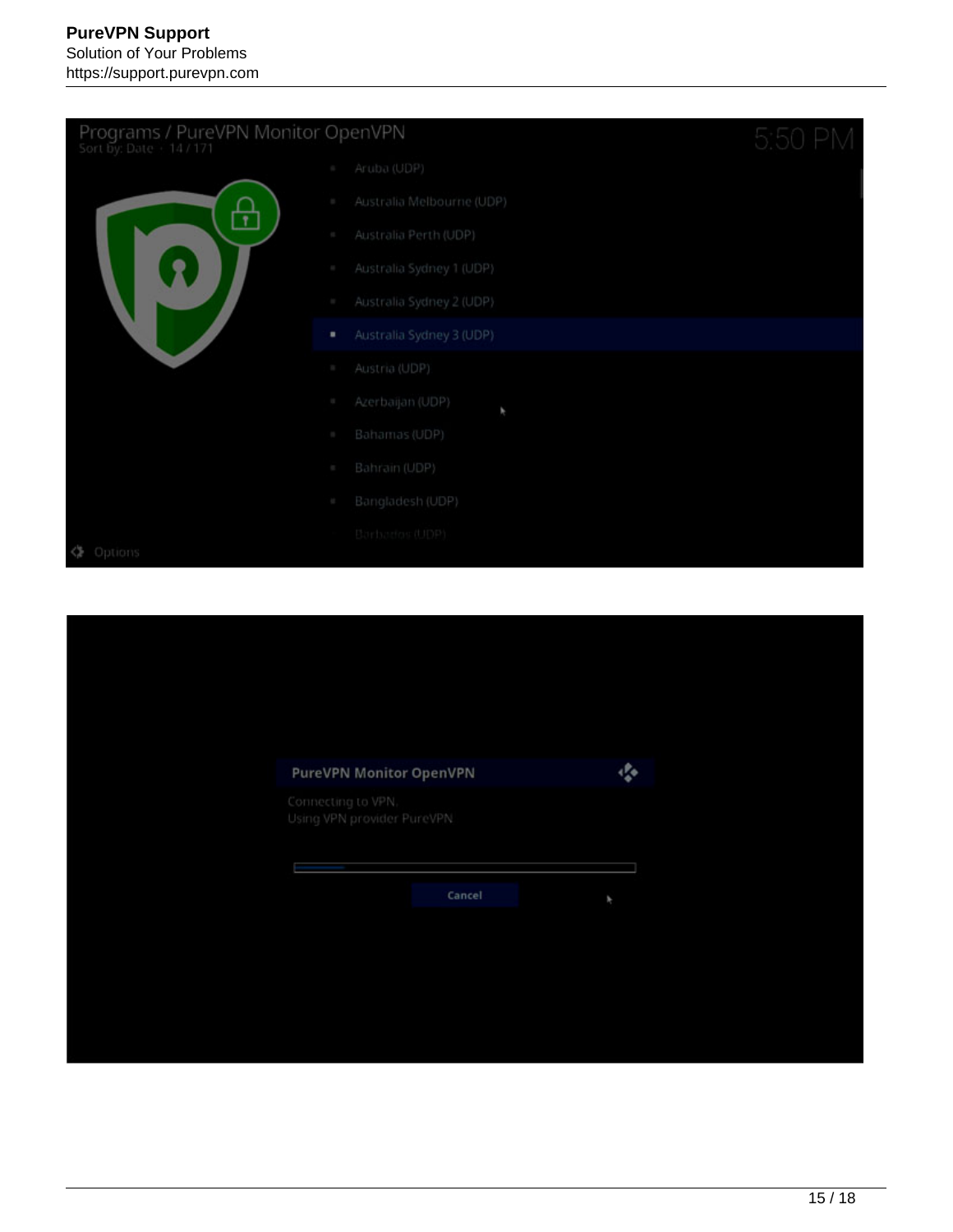| Programs / PureVPN Monitor OpenVPN<br>Sort by: Date + 14 / 171 |            |                           | 5:50 PM |
|----------------------------------------------------------------|------------|---------------------------|---------|
|                                                                |            | Aruba (UDP)               |         |
|                                                                | a,         | Australia Melbourne (UDP) |         |
| $\mathbf{r}$                                                   | a.         | Australia Perth (UDP)     |         |
|                                                                | a,         | Australia Sydney 1 (UDP)  |         |
|                                                                | P.         | Australia Sydney 2 (UDP)  |         |
|                                                                | ٠          | Australia Sydney 3 (UDP)  |         |
|                                                                | a,         | Austria (UDP)             |         |
|                                                                | <b>COL</b> | Azerbaijan (UDP)<br>F     |         |
|                                                                | a.         | Bahamas (UDP)             |         |
|                                                                | a,         | Bahrain (UDP)             |         |
|                                                                | a.         | Bangladesh (UDP)          |         |
|                                                                |            | Barbados (UDP)            |         |
| Options<br>∢≽                                                  |            |                           |         |

| 癌<br>PureVPN Monitor OpenVPN<br>Connecting to VPN.<br>Using VPN provider PureVPN<br>Cancel<br>¥ |  |
|-------------------------------------------------------------------------------------------------|--|
|                                                                                                 |  |
|                                                                                                 |  |
|                                                                                                 |  |
|                                                                                                 |  |
|                                                                                                 |  |
|                                                                                                 |  |
|                                                                                                 |  |
|                                                                                                 |  |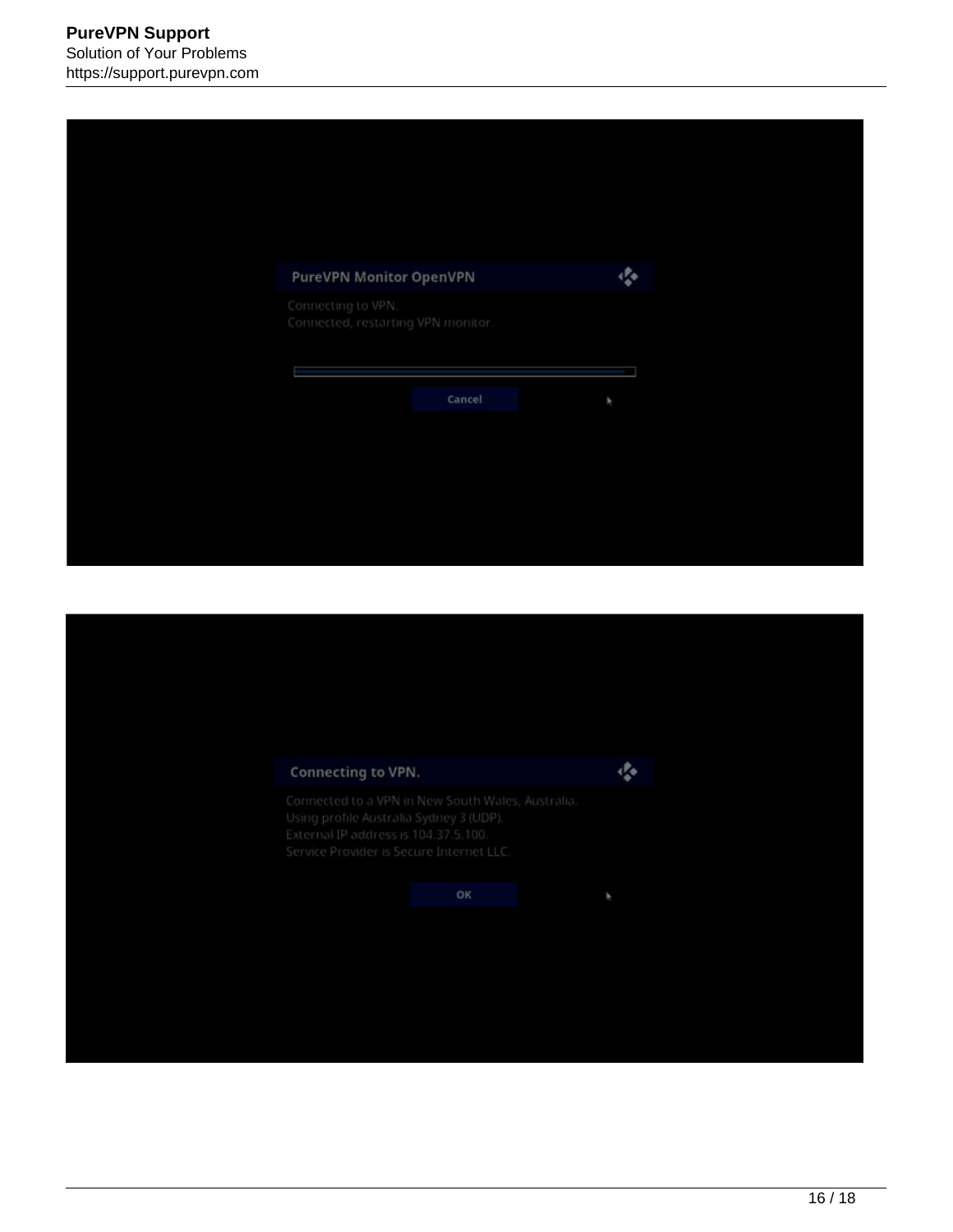| PureVPN Monitor OpenVPN<br>Connecting to VPN.<br>Connected, restarting VPN monitor. | Cancel<br>r |  |  |  |
|-------------------------------------------------------------------------------------|-------------|--|--|--|
| $\clubsuit$                                                                         |             |  |  |  |
|                                                                                     |             |  |  |  |
|                                                                                     |             |  |  |  |
|                                                                                     |             |  |  |  |
|                                                                                     |             |  |  |  |

| Connecting to VPN.                                                                                                          |                                                   | 癌 |
|-----------------------------------------------------------------------------------------------------------------------------|---------------------------------------------------|---|
| Using profile Australia Sydney 3 (UDP).<br>External IP address is 104.37.5.100.<br>Service Provider is Secure Internet LLC. | Connected to a VPN in New South Wales, Australia. |   |
|                                                                                                                             | oк                                                | F |
|                                                                                                                             |                                                   |   |
|                                                                                                                             |                                                   |   |
|                                                                                                                             |                                                   |   |
|                                                                                                                             |                                                   |   |
|                                                                                                                             |                                                   |   |
|                                                                                                                             |                                                   |   |
|                                                                                                                             |                                                   |   |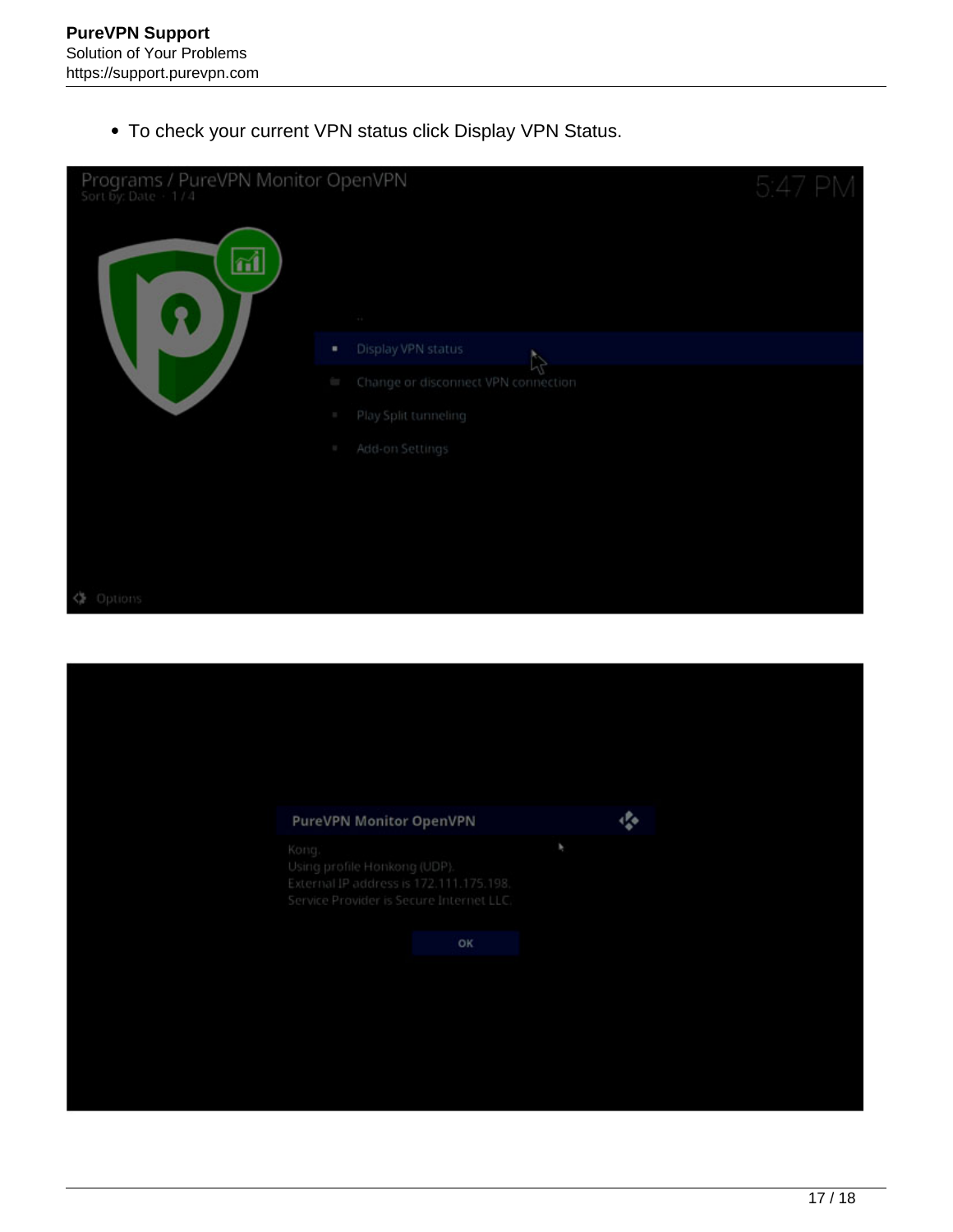To check your current VPN status click Display VPN Status.

| Programs / PureVPN Monitor OpenVPN<br>$\vec{a}$ |                                                                                                                              |    |  |
|-------------------------------------------------|------------------------------------------------------------------------------------------------------------------------------|----|--|
| $\mathbf{R}$                                    | $\left\langle \cdot\right\rangle$                                                                                            |    |  |
|                                                 | Display VPN status<br>٠                                                                                                      | R) |  |
|                                                 | Change or disconnect VPN connection<br>for a                                                                                 |    |  |
|                                                 | Play Split tunneling<br>a,                                                                                                   |    |  |
|                                                 | Add-on Settings                                                                                                              |    |  |
|                                                 |                                                                                                                              |    |  |
|                                                 |                                                                                                                              |    |  |
|                                                 |                                                                                                                              |    |  |
|                                                 |                                                                                                                              |    |  |
| < Options                                       |                                                                                                                              |    |  |
|                                                 |                                                                                                                              |    |  |
|                                                 |                                                                                                                              |    |  |
|                                                 |                                                                                                                              |    |  |
|                                                 |                                                                                                                              |    |  |
|                                                 |                                                                                                                              |    |  |
|                                                 | PureVPN Monitor OpenVPN                                                                                                      | 癌  |  |
|                                                 | Kong.<br>Using profile Honkong (UDP).<br>External IP address is 172.111.175.198.<br>Service Provider is Secure Internet LLC. | ٠  |  |
|                                                 | OK                                                                                                                           |    |  |
|                                                 |                                                                                                                              |    |  |